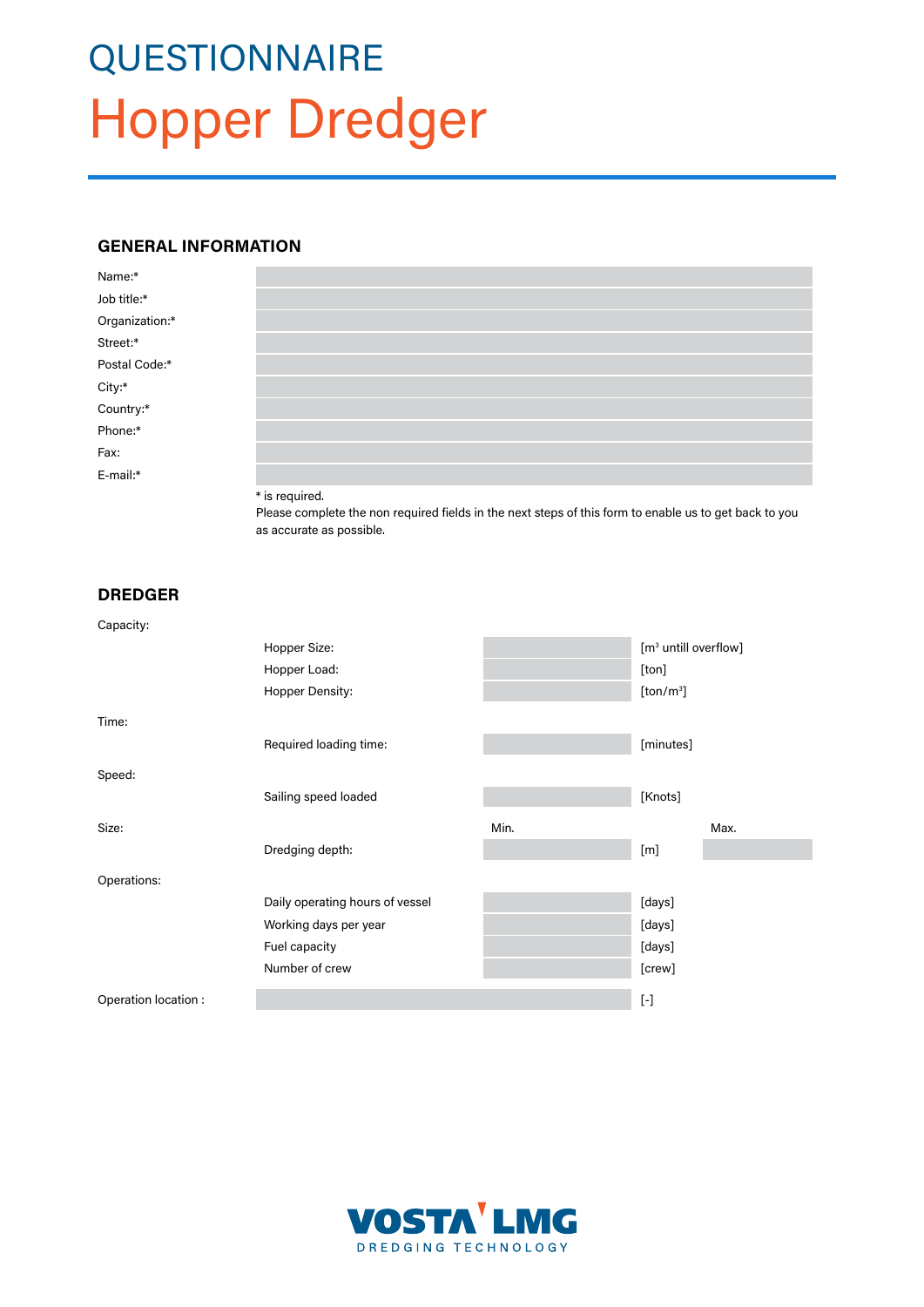# **QUESTIONNAIRE** Hopper Dredger

### **GENERAL INFORMATION**

| Name:*                         |                           |  |
|--------------------------------|---------------------------|--|
| Job title:*                    |                           |  |
| Organization:*                 |                           |  |
| Street:*                       |                           |  |
| Postal Code:*                  |                           |  |
|                                |                           |  |
| City:*<br>Country:*<br>Phone:* |                           |  |
|                                |                           |  |
| Fax:                           |                           |  |
| E-mail:*                       |                           |  |
|                                | $\sim$ $\sim$ $\sim$<br>. |  |

\* is required.

Please complete the non required fields in the next steps of this form to enable us to get back to you as accurate as possible.

## **DREDGER**

| Capacity:            |                                 |      |                                  |      |  |  |
|----------------------|---------------------------------|------|----------------------------------|------|--|--|
|                      | Hopper Size:                    |      | [m <sup>3</sup> untill overflow] |      |  |  |
|                      | Hopper Load:                    |      | [ton]                            |      |  |  |
|                      | Hopper Density:                 |      | [ton/m <sup>3</sup> ]            |      |  |  |
| Time:                |                                 |      |                                  |      |  |  |
|                      | Required loading time:          |      | [minutes]                        |      |  |  |
| Speed:               |                                 |      |                                  |      |  |  |
|                      | Sailing speed loaded            |      | [Knots]                          |      |  |  |
| Size:                |                                 | Min. |                                  | Max. |  |  |
|                      | Dredging depth:                 |      | [m]                              |      |  |  |
| Operations:          |                                 |      |                                  |      |  |  |
|                      | Daily operating hours of vessel |      | [days]                           |      |  |  |
|                      | Working days per year           |      | [days]                           |      |  |  |
|                      | Fuel capacity                   |      | [days]                           |      |  |  |
|                      | Number of crew                  |      | [crew]                           |      |  |  |
| Operation location : |                                 |      | $[\![\cdot]\!]$                  |      |  |  |

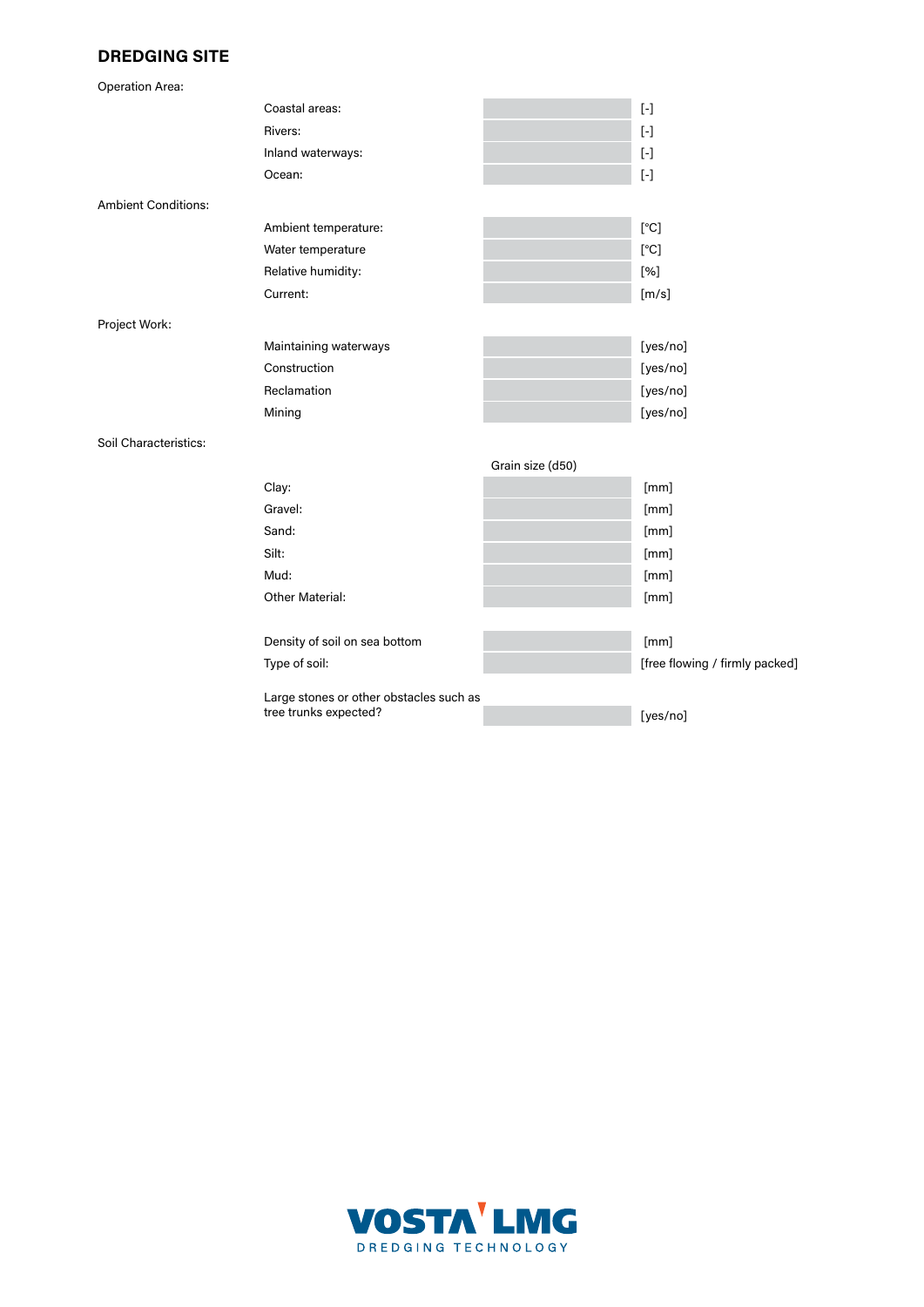# **DREDGING SITE**

| <b>Operation Area:</b>     |                                         |                  |                                                                                                                                                                                                                                                                                                                                                                                                                                                                                                                                                                                                                                                                                                                                                                                                                                                                                                                                                                                                                                                                                                                     |
|----------------------------|-----------------------------------------|------------------|---------------------------------------------------------------------------------------------------------------------------------------------------------------------------------------------------------------------------------------------------------------------------------------------------------------------------------------------------------------------------------------------------------------------------------------------------------------------------------------------------------------------------------------------------------------------------------------------------------------------------------------------------------------------------------------------------------------------------------------------------------------------------------------------------------------------------------------------------------------------------------------------------------------------------------------------------------------------------------------------------------------------------------------------------------------------------------------------------------------------|
|                            | Coastal areas:                          |                  | $[\cdot] % \centering \includegraphics[width=0.9\textwidth]{images/TrDiS/N-Architecture.png} % \caption{The first two different values of the parameter $\Sigma$ with the same time. The first two different values of the parameter $\Sigma$. The first two different values of the parameter $\Sigma$. The first two different values of the parameter $\Sigma$. The first two different values of the parameter $\Sigma$. The first two different values of the parameter $\Sigma$. The first two different values of the parameter $\Sigma$. The first two different values of the parameter $\Sigma$. The first two different values of the parameter $\Sigma$. The first two different values of the parameter $\Sigma$. The first two different values of the parameter $\Sigma$. The first two different values of the parameter $\Sigma$. The first two different values of the parameter $\Sigma$. The first two different values of the parameter $\Sigma$. The first two different values of the parameter $\Sigma$. The first two different values of the parameter $\Sigma$. The first two different$ |
|                            | Rivers:                                 |                  |                                                                                                                                                                                                                                                                                                                                                                                                                                                                                                                                                                                                                                                                                                                                                                                                                                                                                                                                                                                                                                                                                                                     |
|                            | Inland waterways:                       |                  | $[\cdot] % \centering \includegraphics[width=0.9\textwidth]{images/TrDiM-Architecture.png} % \caption{The first two different values of $S$ and $S$ is the same as in Figure \ref{fig:10}. The first two different values of $S$ is the same as in Figure \ref{fig:10}. The second two different values of $S$ is the same as in Figure \ref{fig:10}.} \label{fig:TrDiM-Architecture}$                                                                                                                                                                                                                                                                                                                                                                                                                                                                                                                                                                                                                                                                                                                              |
|                            | Ocean:                                  |                  |                                                                                                                                                                                                                                                                                                                                                                                                                                                                                                                                                                                                                                                                                                                                                                                                                                                                                                                                                                                                                                                                                                                     |
| <b>Ambient Conditions:</b> |                                         |                  |                                                                                                                                                                                                                                                                                                                                                                                                                                                                                                                                                                                                                                                                                                                                                                                                                                                                                                                                                                                                                                                                                                                     |
|                            | Ambient temperature:                    |                  | $\rm [^\circ C]$                                                                                                                                                                                                                                                                                                                                                                                                                                                                                                                                                                                                                                                                                                                                                                                                                                                                                                                                                                                                                                                                                                    |
|                            | Water temperature                       |                  | $\rm [^\circ C]$                                                                                                                                                                                                                                                                                                                                                                                                                                                                                                                                                                                                                                                                                                                                                                                                                                                                                                                                                                                                                                                                                                    |
|                            | Relative humidity:                      |                  | [%]                                                                                                                                                                                                                                                                                                                                                                                                                                                                                                                                                                                                                                                                                                                                                                                                                                                                                                                                                                                                                                                                                                                 |
|                            | Current:                                |                  | [m/s]                                                                                                                                                                                                                                                                                                                                                                                                                                                                                                                                                                                                                                                                                                                                                                                                                                                                                                                                                                                                                                                                                                               |
| Project Work:              |                                         |                  |                                                                                                                                                                                                                                                                                                                                                                                                                                                                                                                                                                                                                                                                                                                                                                                                                                                                                                                                                                                                                                                                                                                     |
|                            | Maintaining waterways                   |                  | [yes/no]                                                                                                                                                                                                                                                                                                                                                                                                                                                                                                                                                                                                                                                                                                                                                                                                                                                                                                                                                                                                                                                                                                            |
|                            | Construction                            |                  | [yes/no]                                                                                                                                                                                                                                                                                                                                                                                                                                                                                                                                                                                                                                                                                                                                                                                                                                                                                                                                                                                                                                                                                                            |
|                            | Reclamation                             |                  | [yes/no]                                                                                                                                                                                                                                                                                                                                                                                                                                                                                                                                                                                                                                                                                                                                                                                                                                                                                                                                                                                                                                                                                                            |
|                            | Mining                                  |                  | [yes/no]                                                                                                                                                                                                                                                                                                                                                                                                                                                                                                                                                                                                                                                                                                                                                                                                                                                                                                                                                                                                                                                                                                            |
| Soil Characteristics:      |                                         |                  |                                                                                                                                                                                                                                                                                                                                                                                                                                                                                                                                                                                                                                                                                                                                                                                                                                                                                                                                                                                                                                                                                                                     |
|                            |                                         | Grain size (d50) |                                                                                                                                                                                                                                                                                                                                                                                                                                                                                                                                                                                                                                                                                                                                                                                                                                                                                                                                                                                                                                                                                                                     |
|                            | Clay:                                   |                  | [mm]                                                                                                                                                                                                                                                                                                                                                                                                                                                                                                                                                                                                                                                                                                                                                                                                                                                                                                                                                                                                                                                                                                                |
|                            | Gravel:                                 |                  | [mm]                                                                                                                                                                                                                                                                                                                                                                                                                                                                                                                                                                                                                                                                                                                                                                                                                                                                                                                                                                                                                                                                                                                |
|                            | Sand:                                   |                  | [mm]                                                                                                                                                                                                                                                                                                                                                                                                                                                                                                                                                                                                                                                                                                                                                                                                                                                                                                                                                                                                                                                                                                                |
|                            | Silt:                                   |                  | [mm]                                                                                                                                                                                                                                                                                                                                                                                                                                                                                                                                                                                                                                                                                                                                                                                                                                                                                                                                                                                                                                                                                                                |
|                            | Mud:                                    |                  | [mm]                                                                                                                                                                                                                                                                                                                                                                                                                                                                                                                                                                                                                                                                                                                                                                                                                                                                                                                                                                                                                                                                                                                |
|                            | <b>Other Material:</b>                  |                  | [mm]                                                                                                                                                                                                                                                                                                                                                                                                                                                                                                                                                                                                                                                                                                                                                                                                                                                                                                                                                                                                                                                                                                                |
|                            |                                         |                  |                                                                                                                                                                                                                                                                                                                                                                                                                                                                                                                                                                                                                                                                                                                                                                                                                                                                                                                                                                                                                                                                                                                     |
|                            | Density of soil on sea bottom           |                  | [mm]                                                                                                                                                                                                                                                                                                                                                                                                                                                                                                                                                                                                                                                                                                                                                                                                                                                                                                                                                                                                                                                                                                                |
|                            | Type of soil:                           |                  | [free flowing / firmly packed]                                                                                                                                                                                                                                                                                                                                                                                                                                                                                                                                                                                                                                                                                                                                                                                                                                                                                                                                                                                                                                                                                      |
|                            | Large stones or other obstacles such as |                  |                                                                                                                                                                                                                                                                                                                                                                                                                                                                                                                                                                                                                                                                                                                                                                                                                                                                                                                                                                                                                                                                                                                     |
|                            | tree trunks expected?                   |                  | [yes/no]                                                                                                                                                                                                                                                                                                                                                                                                                                                                                                                                                                                                                                                                                                                                                                                                                                                                                                                                                                                                                                                                                                            |
|                            |                                         |                  |                                                                                                                                                                                                                                                                                                                                                                                                                                                                                                                                                                                                                                                                                                                                                                                                                                                                                                                                                                                                                                                                                                                     |